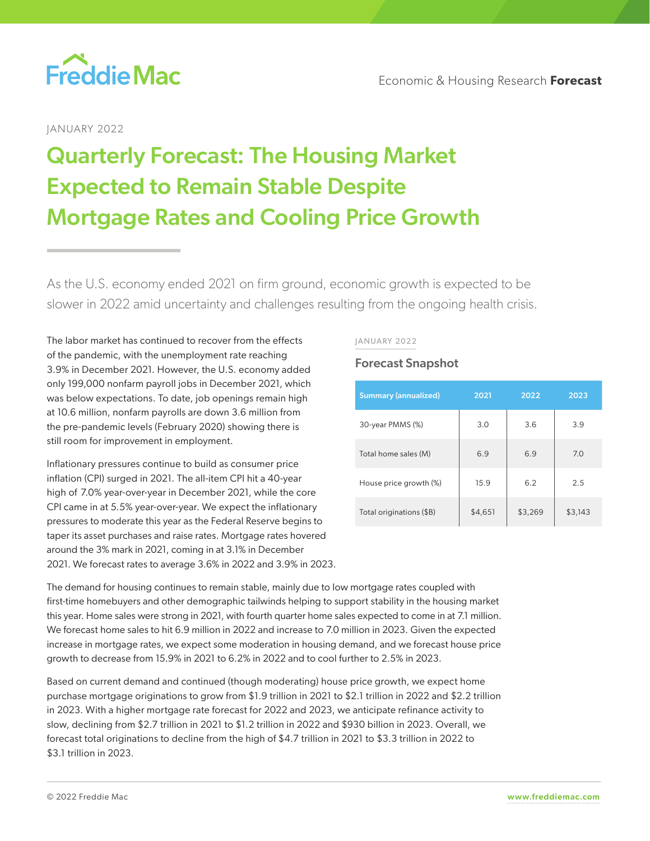

## JANUARY 2022

# Quarterly Forecast: The Housing Market Expected to Remain Stable Despite Mortgage Rates and Cooling Price Growth

As the U.S. economy ended 2021 on firm ground, economic growth is expected to be slower in 2022 amid uncertainty and challenges resulting from the ongoing health crisis.

The labor market has continued to recover from the effects of the pandemic, with the unemployment rate reaching 3.9% in December 2021. However, the U.S. economy added only 199,000 nonfarm payroll jobs in December 2021, which was below expectations. To date, job openings remain high at 10.6 million, nonfarm payrolls are down 3.6 million from the pre-pandemic levels (February 2020) showing there is still room for improvement in employment.

Inflationary pressures continue to build as consumer price inflation (CPI) surged in 2021. The all-item CPI hit a 40-year high of 7.0% year-over-year in December 2021, while the core CPI came in at 5.5% year-over-year. We expect the inflationary pressures to moderate this year as the Federal Reserve begins to taper its asset purchases and raise rates. Mortgage rates hovered around the 3% mark in 2021, coming in at 3.1% in December 2021. We forecast rates to average 3.6% in 2022 and 3.9% in 2023.

#### JANUARY 2022

### Forecast Snapshot

| <b>Summary (annualized)</b> | 2021    | 2022    | 2023    |
|-----------------------------|---------|---------|---------|
| 30-year PMMS (%)            | 3.0     | 3.6     | 3.9     |
| Total home sales (M)        | 6.9     | 6.9     | 7.0     |
| House price growth (%)      | 15.9    | 6.2     | 2.5     |
| Total originations (\$B)    | \$4,651 | \$3,269 | \$3,143 |

The demand for housing continues to remain stable, mainly due to low mortgage rates coupled with first-time homebuyers and other demographic tailwinds helping to support stability in the housing market this year. Home sales were strong in 2021, with fourth quarter home sales expected to come in at 7.1 million. We forecast home sales to hit 6.9 million in 2022 and increase to 7.0 million in 2023. Given the expected increase in mortgage rates, we expect some moderation in housing demand, and we forecast house price growth to decrease from 15.9% in 2021 to 6.2% in 2022 and to cool further to 2.5% in 2023.

Based on current demand and continued (though moderating) house price growth, we expect home purchase mortgage originations to grow from \$1.9 trillion in 2021 to \$2.1 trillion in 2022 and \$2.2 trillion in 2023. With a higher mortgage rate forecast for 2022 and 2023, we anticipate refinance activity to slow, declining from \$2.7 trillion in 2021 to \$1.2 trillion in 2022 and \$930 billion in 2023. Overall, we forecast total originations to decline from the high of \$4.7 trillion in 2021 to \$3.3 trillion in 2022 to \$3.1 trillion in 2023.